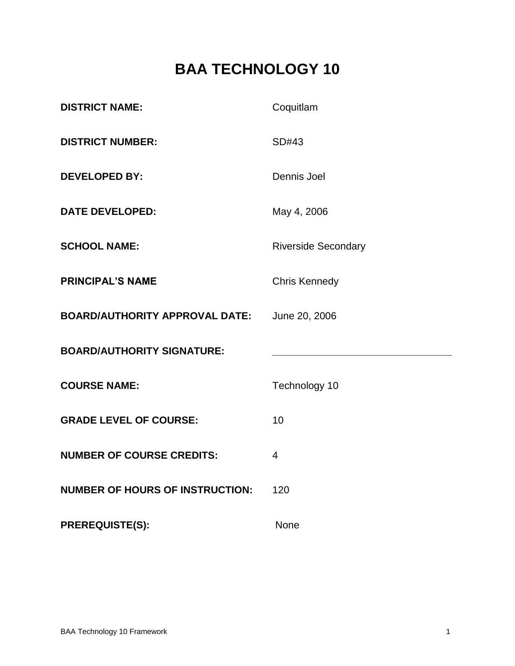# **BAA TECHNOLOGY 10**

| <b>DISTRICT NAME:</b>                  | Coquitlam                  |
|----------------------------------------|----------------------------|
| <b>DISTRICT NUMBER:</b>                | SD#43                      |
| <b>DEVELOPED BY:</b>                   | Dennis Joel                |
| <b>DATE DEVELOPED:</b>                 | May 4, 2006                |
| <b>SCHOOL NAME:</b>                    | <b>Riverside Secondary</b> |
| <b>PRINCIPAL'S NAME</b>                | <b>Chris Kennedy</b>       |
| <b>BOARD/AUTHORITY APPROVAL DATE:</b>  | June 20, 2006              |
| <b>BOARD/AUTHORITY SIGNATURE:</b>      |                            |
| <b>COURSE NAME:</b>                    | Technology 10              |
| <b>GRADE LEVEL OF COURSE:</b>          | 10                         |
| <b>NUMBER OF COURSE CREDITS:</b>       | $\overline{4}$             |
| <b>NUMBER OF HOURS OF INSTRUCTION:</b> | 120                        |
| <b>PREREQUISTE(S):</b>                 | None                       |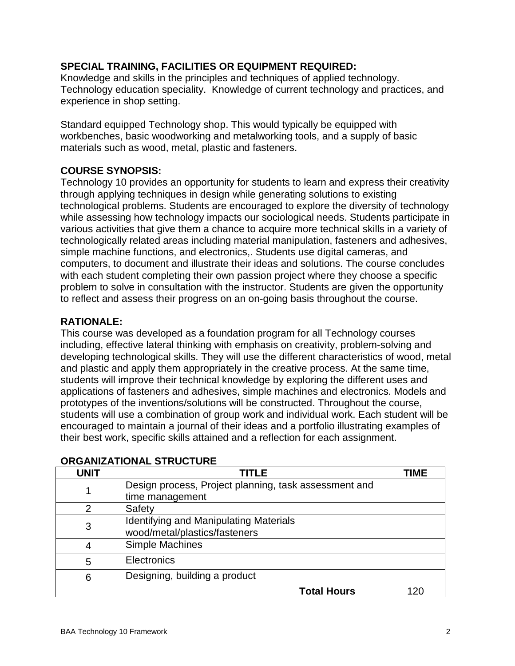# **SPECIAL TRAINING, FACILITIES OR EQUIPMENT REQUIRED:**

Knowledge and skills in the principles and techniques of applied technology. Technology education speciality. Knowledge of current technology and practices, and experience in shop setting.

Standard equipped Technology shop. This would typically be equipped with workbenches, basic woodworking and metalworking tools, and a supply of basic materials such as wood, metal, plastic and fasteners.

# **COURSE SYNOPSIS:**

Technology 10 provides an opportunity for students to learn and express their creativity through applying techniques in design while generating solutions to existing technological problems. Students are encouraged to explore the diversity of technology while assessing how technology impacts our sociological needs. Students participate in various activities that give them a chance to acquire more technical skills in a variety of technologically related areas including material manipulation, fasteners and adhesives, simple machine functions, and electronics,. Students use digital cameras, and computers, to document and illustrate their ideas and solutions. The course concludes with each student completing their own passion project where they choose a specific problem to solve in consultation with the instructor. Students are given the opportunity to reflect and assess their progress on an on-going basis throughout the course.

## **RATIONALE:**

This course was developed as a foundation program for all Technology courses including, effective lateral thinking with emphasis on creativity, problem-solving and developing technological skills. They will use the different characteristics of wood, metal and plastic and apply them appropriately in the creative process. At the same time, students will improve their technical knowledge by exploring the different uses and applications of fasteners and adhesives, simple machines and electronics. Models and prototypes of the inventions/solutions will be constructed. Throughout the course, students will use a combination of group work and individual work. Each student will be encouraged to maintain a journal of their ideas and a portfolio illustrating examples of their best work, specific skills attained and a reflection for each assignment.

| UNIT                                               | TITI F                                                | <b>TIME</b> |
|----------------------------------------------------|-------------------------------------------------------|-------------|
|                                                    | Design process, Project planning, task assessment and |             |
|                                                    | time management                                       |             |
| 2                                                  | Safety                                                |             |
| <b>Identifying and Manipulating Materials</b><br>3 |                                                       |             |
|                                                    | wood/metal/plastics/fasteners                         |             |
| 4                                                  | Simple Machines                                       |             |
| 5                                                  | <b>Electronics</b>                                    |             |
| 6                                                  | Designing, building a product                         |             |
|                                                    | <b>Total Hours</b>                                    | 120         |

## **ORGANIZATIONAL STRUCTURE**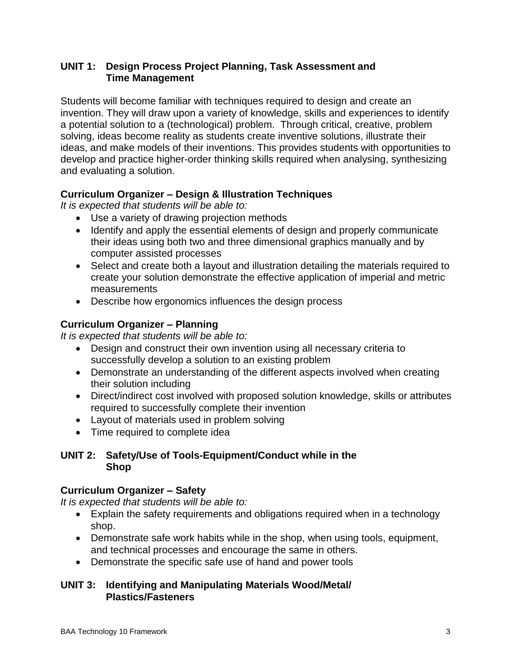## **UNIT 1: Design Process Project Planning, Task Assessment and Time Management**

Students will become familiar with techniques required to design and create an invention. They will draw upon a variety of knowledge, skills and experiences to identify a potential solution to a (technological) problem. Through critical, creative, problem solving, ideas become reality as students create inventive solutions, illustrate their ideas, and make models of their inventions. This provides students with opportunities to develop and practice higher-order thinking skills required when analysing, synthesizing and evaluating a solution.

# **Curriculum Organizer – Design & Illustration Techniques**

*It is expected that students will be able to:*

- Use a variety of drawing projection methods
- Identify and apply the essential elements of design and properly communicate their ideas using both two and three dimensional graphics manually and by computer assisted processes
- Select and create both a layout and illustration detailing the materials required to create your solution demonstrate the effective application of imperial and metric measurements
- Describe how ergonomics influences the design process

# **Curriculum Organizer – Planning**

*It is expected that students will be able to:*

- Design and construct their own invention using all necessary criteria to successfully develop a solution to an existing problem
- Demonstrate an understanding of the different aspects involved when creating their solution including
- Direct/indirect cost involved with proposed solution knowledge, skills or attributes required to successfully complete their invention
- Layout of materials used in problem solving
- Time required to complete idea

# **UNIT 2: Safety/Use of Tools-Equipment/Conduct while in the Shop**

# **Curriculum Organizer – Safety**

*It is expected that students will be able to:*

- Explain the safety requirements and obligations required when in a technology shop.
- Demonstrate safe work habits while in the shop, when using tools, equipment, and technical processes and encourage the same in others.
- Demonstrate the specific safe use of hand and power tools

# **UNIT 3: Identifying and Manipulating Materials Wood/Metal/ Plastics/Fasteners**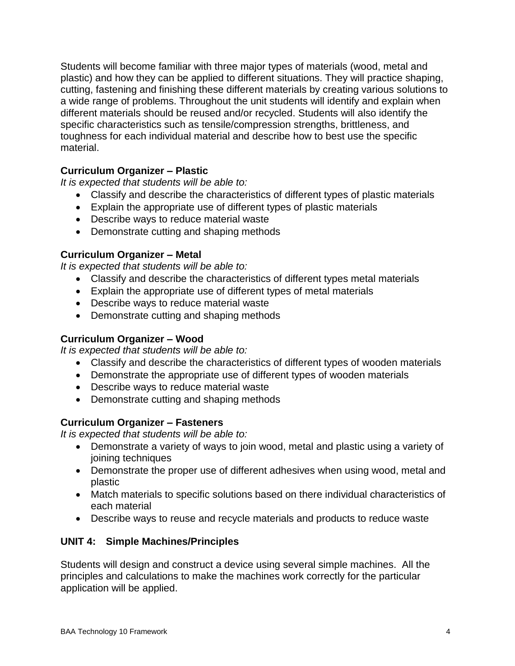Students will become familiar with three major types of materials (wood, metal and plastic) and how they can be applied to different situations. They will practice shaping, cutting, fastening and finishing these different materials by creating various solutions to a wide range of problems. Throughout the unit students will identify and explain when different materials should be reused and/or recycled. Students will also identify the specific characteristics such as tensile/compression strengths, brittleness, and toughness for each individual material and describe how to best use the specific material.

# **Curriculum Organizer – Plastic**

*It is expected that students will be able to:*

- Classify and describe the characteristics of different types of plastic materials
- Explain the appropriate use of different types of plastic materials
- Describe ways to reduce material waste
- Demonstrate cutting and shaping methods

#### **Curriculum Organizer – Metal**

*It is expected that students will be able to:* 

- Classify and describe the characteristics of different types metal materials
- Explain the appropriate use of different types of metal materials
- Describe ways to reduce material waste
- Demonstrate cutting and shaping methods

#### **Curriculum Organizer – Wood**

*It is expected that students will be able to:* 

- Classify and describe the characteristics of different types of wooden materials
- Demonstrate the appropriate use of different types of wooden materials
- Describe ways to reduce material waste
- Demonstrate cutting and shaping methods

#### **Curriculum Organizer – Fasteners**

*It is expected that students will be able to:* 

- Demonstrate a variety of ways to join wood, metal and plastic using a variety of joining techniques
- Demonstrate the proper use of different adhesives when using wood, metal and plastic
- Match materials to specific solutions based on there individual characteristics of each material
- Describe ways to reuse and recycle materials and products to reduce waste

## **UNIT 4: Simple Machines/Principles**

Students will design and construct a device using several simple machines. All the principles and calculations to make the machines work correctly for the particular application will be applied.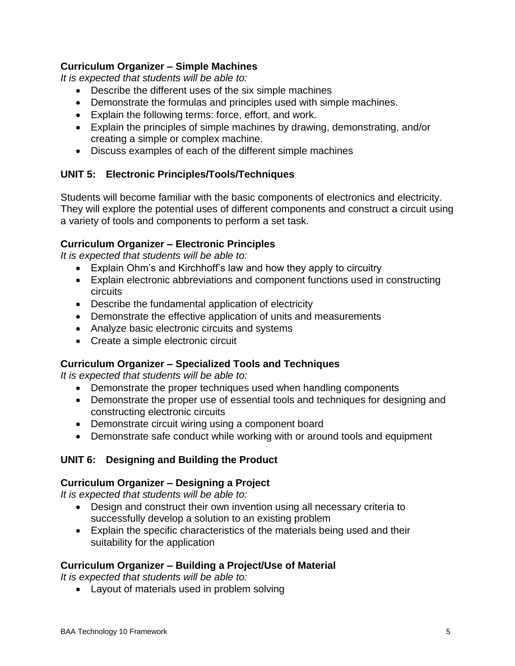# **Curriculum Organizer – Simple Machines**

*It is expected that students will be able to:* 

- Describe the different uses of the six simple machines
- Demonstrate the formulas and principles used with simple machines.
- Explain the following terms: force, effort, and work.
- Explain the principles of simple machines by drawing, demonstrating, and/or creating a simple or complex machine.
- Discuss examples of each of the different simple machines

# **UNIT 5: Electronic Principles/Tools/Techniques**

Students will become familiar with the basic components of electronics and electricity. They will explore the potential uses of different components and construct a circuit using a variety of tools and components to perform a set task.

# **Curriculum Organizer – Electronic Principles**

*It is expected that students will be able to:*

- Explain Ohm's and Kirchhoff's law and how they apply to circuitry
- Explain electronic abbreviations and component functions used in constructing circuits
- Describe the fundamental application of electricity
- Demonstrate the effective application of units and measurements
- Analyze basic electronic circuits and systems
- Create a simple electronic circuit

## **Curriculum Organizer – Specialized Tools and Techniques**

*It is expected that students will be able to:*

- Demonstrate the proper techniques used when handling components
- Demonstrate the proper use of essential tools and techniques for designing and constructing electronic circuits
- Demonstrate circuit wiring using a component board
- Demonstrate safe conduct while working with or around tools and equipment

# **UNIT 6: Designing and Building the Product**

## **Curriculum Organizer – Designing a Project**

*It is expected that students will be able to:*

- Design and construct their own invention using all necessary criteria to successfully develop a solution to an existing problem
- Explain the specific characteristics of the materials being used and their suitability for the application

## **Curriculum Organizer – Building a Project/Use of Material**

*It is expected that students will be able to:*

• Layout of materials used in problem solving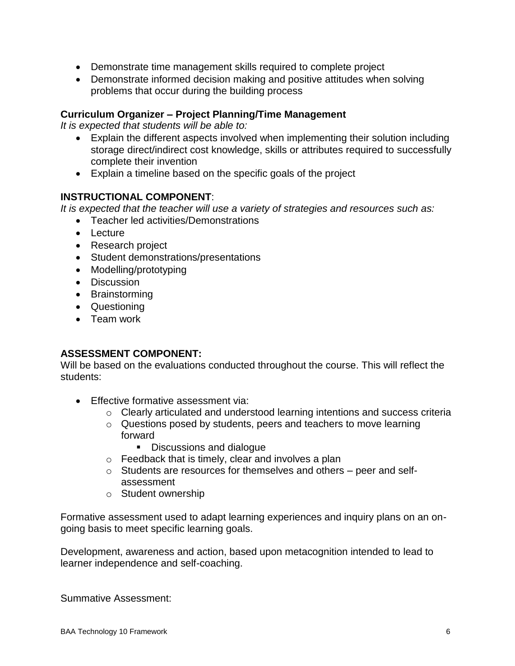- Demonstrate time management skills required to complete project
- Demonstrate informed decision making and positive attitudes when solving problems that occur during the building process

## **Curriculum Organizer – Project Planning/Time Management**

*It is expected that students will be able to:*

- Explain the different aspects involved when implementing their solution including storage direct/indirect cost knowledge, skills or attributes required to successfully complete their invention
- Explain a timeline based on the specific goals of the project

# **INSTRUCTIONAL COMPONENT**:

*It is expected that the teacher will use a variety of strategies and resources such as:*

- Teacher led activities/Demonstrations
- Lecture
- Research project
- Student demonstrations/presentations
- Modelling/prototyping
- Discussion
- Brainstorming
- Questioning
- Team work

## **ASSESSMENT COMPONENT:**

Will be based on the evaluations conducted throughout the course. This will reflect the students:

- **Effective formative assessment via:** 
	- o Clearly articulated and understood learning intentions and success criteria
	- o Questions posed by students, peers and teachers to move learning forward
		- Discussions and dialogue
	- $\circ$  Feedback that is timely, clear and involves a plan
	- o Students are resources for themselves and others peer and selfassessment
	- o Student ownership

Formative assessment used to adapt learning experiences and inquiry plans on an ongoing basis to meet specific learning goals.

Development, awareness and action, based upon metacognition intended to lead to learner independence and self-coaching.

Summative Assessment: